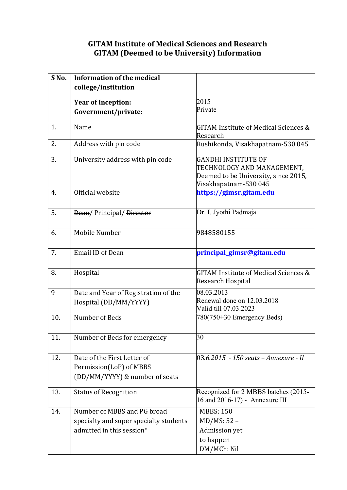## GITAM Institute of Medical Sciences and Research GITAM (Deemed to be University) Information

| S <sub>No.</sub> | <b>Information of the medical</b>                                                                  |                                                                                                                    |
|------------------|----------------------------------------------------------------------------------------------------|--------------------------------------------------------------------------------------------------------------------|
|                  | college/institution                                                                                |                                                                                                                    |
|                  |                                                                                                    |                                                                                                                    |
|                  | <b>Year of Inception:</b>                                                                          | 2015<br>Private                                                                                                    |
|                  | Government/private:                                                                                |                                                                                                                    |
| 1.               | Name                                                                                               | GITAM Institute of Medical Sciences &<br>Research                                                                  |
| 2.               | Address with pin code                                                                              | Rushikonda, Visakhapatnam-530 045                                                                                  |
| 3.               | University address with pin code                                                                   | GANDHI INSTITUTE OF<br>TECHNOLOGY AND MANAGEMENT,<br>Deemed to be University, since 2015,<br>Visakhapatnam-530 045 |
| 4.               | Official website                                                                                   | https://gimsr.gitam.edu                                                                                            |
| 5.               | Dean/Principal/Director                                                                            | Dr. I. Jyothi Padmaja                                                                                              |
| 6.               | Mobile Number                                                                                      | 9848580155                                                                                                         |
| 7.               | <b>Email ID of Dean</b>                                                                            | principal_gimsr@gitam.edu                                                                                          |
| 8.               | Hospital                                                                                           | GITAM Institute of Medical Sciences &<br>Research Hospital                                                         |
| 9                | Date and Year of Registration of the                                                               | 08.03.2013                                                                                                         |
|                  | Hospital (DD/MM/YYYY)                                                                              | Renewal done on 12.03.2018<br>Valid till 07.03.2023                                                                |
| 10.              | Number of Beds                                                                                     | 780(750+30 Emergency Beds)                                                                                         |
| 11.              | Number of Beds for emergency                                                                       | 30                                                                                                                 |
| 12.              | Date of the First Letter of<br>Permission(LoP) of MBBS<br>(DD/MM/YYYY) & number of seats           | 03.6.2015 - 150 seats – Annexure - II                                                                              |
| 13.              | <b>Status of Recognition</b>                                                                       | Recognized for 2 MBBS batches (2015-<br>16 and 2016-17) - Annexure III                                             |
| 14.              | Number of MBBS and PG broad<br>specialty and super specialty students<br>admitted in this session* | <b>MBBS: 150</b><br>MD/MS: 52 -<br>Admission yet<br>to happen<br>DM/MCh: Nil                                       |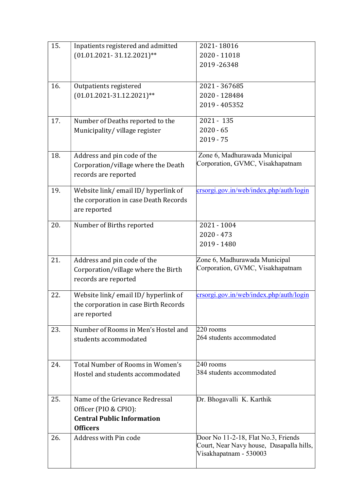| 15. | Inpatients registered and admitted    | 2021-18016                                                         |
|-----|---------------------------------------|--------------------------------------------------------------------|
|     | $(01.01.2021 - 31.12.2021)$ **        | 2020 - 11018                                                       |
|     |                                       | 2019-26348                                                         |
|     |                                       |                                                                    |
| 16. | Outpatients registered                | 2021 - 367685                                                      |
|     | $(01.01.2021-31.12.2021)$ **          | 2020 - 128484                                                      |
|     |                                       | 2019 - 405352                                                      |
|     |                                       |                                                                    |
| 17. | Number of Deaths reported to the      | $2021 - 135$                                                       |
|     | Municipality/village register         | $2020 - 65$                                                        |
|     |                                       | $2019 - 75$                                                        |
| 18. | Address and pin code of the           | Zone 6, Madhurawada Municipal                                      |
|     | Corporation/village where the Death   | Corporation, GVMC, Visakhapatnam                                   |
|     | records are reported                  |                                                                    |
|     |                                       |                                                                    |
| 19. | Website link/email ID/hyperlink of    | crsorgi.gov.in/web/index.php/auth/login                            |
|     | the corporation in case Death Records |                                                                    |
|     | are reported                          |                                                                    |
| 20. | Number of Births reported             | 2021 - 1004                                                        |
|     |                                       | $2020 - 473$                                                       |
|     |                                       | 2019 - 1480                                                        |
|     |                                       |                                                                    |
|     |                                       |                                                                    |
| 21. | Address and pin code of the           | Zone 6, Madhurawada Municipal                                      |
|     | Corporation/village where the Birth   | Corporation, GVMC, Visakhapatnam                                   |
|     | records are reported                  |                                                                    |
|     |                                       |                                                                    |
| 22. | Website link/email ID/hyperlink of    | crsorgi.gov.in/web/index.php/auth/login                            |
|     | the corporation in case Birth Records |                                                                    |
|     | are reported                          |                                                                    |
| 23. | Number of Rooms in Men's Hostel and   | $220$ rooms                                                        |
|     | students accommodated                 | 264 students accommodated                                          |
|     |                                       |                                                                    |
| 24. | Total Number of Rooms in Women's      | 240 rooms                                                          |
|     | Hostel and students accommodated      | 384 students accommodated                                          |
|     |                                       |                                                                    |
|     |                                       |                                                                    |
| 25. | Name of the Grievance Redressal       | Dr. Bhogavalli K. Karthik                                          |
|     | Officer (PIO & CPIO):                 |                                                                    |
|     | <b>Central Public Information</b>     |                                                                    |
|     | <b>Officers</b>                       |                                                                    |
| 26. | Address with Pin code                 | Door No 11-2-18, Flat No.3, Friends                                |
|     |                                       | Court, Near Navy house, Dasapalla hills,<br>Visakhapatnam - 530003 |